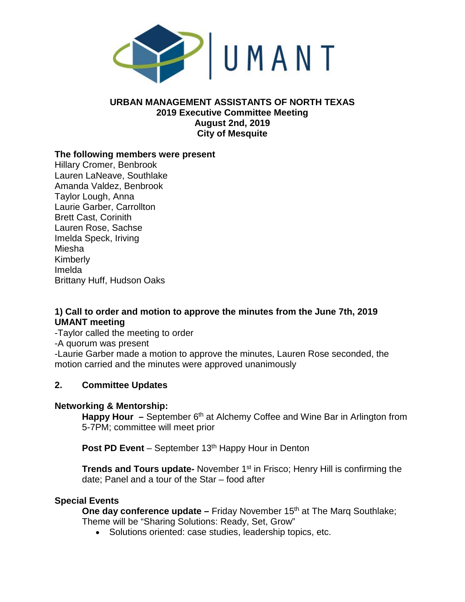

### **URBAN MANAGEMENT ASSISTANTS OF NORTH TEXAS 2019 Executive Committee Meeting August 2nd, 2019 City of Mesquite**

### **The following members were present**

Hillary Cromer, Benbrook Lauren LaNeave, Southlake Amanda Valdez, Benbrook Taylor Lough, Anna Laurie Garber, Carrollton Brett Cast, Corinith Lauren Rose, Sachse Imelda Speck, Iriving Miesha Kimberly Imelda Brittany Huff, Hudson Oaks

# **1) Call to order and motion to approve the minutes from the June 7th, 2019 UMANT meeting**

-Taylor called the meeting to order

-A quorum was present

-Laurie Garber made a motion to approve the minutes, Lauren Rose seconded, the motion carried and the minutes were approved unanimously

### **2. Committee Updates**

#### **Networking & Mentorship:**

**Happy Hour** – September 6<sup>th</sup> at Alchemy Coffee and Wine Bar in Arlington from 5-7PM; committee will meet prior

**Post PD Event** – September 13<sup>th</sup> Happy Hour in Denton

**Trends and Tours update-** November 1<sup>st</sup> in Frisco; Henry Hill is confirming the date; Panel and a tour of the Star – food after

### **Special Events**

**One day conference update** – Friday November 15<sup>th</sup> at The Marq Southlake; Theme will be "Sharing Solutions: Ready, Set, Grow"

• Solutions oriented: case studies, leadership topics, etc.